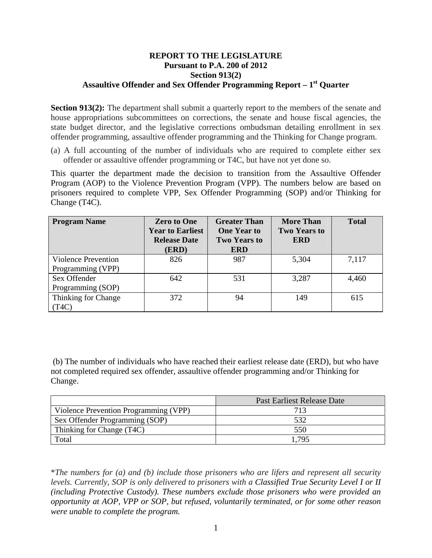## **REPORT TO THE LEGISLATURE Pursuant to P.A. 200 of 2012 Section 913(2)**  Assaultive Offender and Sex Offender Programming Report – 1<sup>st</sup> Ouarter

**Section 913(2):** The department shall submit a quarterly report to the members of the senate and house appropriations subcommittees on corrections, the senate and house fiscal agencies, the state budget director, and the legislative corrections ombudsman detailing enrollment in sex offender programming, assaultive offender programming and the Thinking for Change program.

(a) A full accounting of the number of individuals who are required to complete either sex offender or assaultive offender programming or T4C, but have not yet done so.

This quarter the department made the decision to transition from the Assaultive Offender Program (AOP) to the Violence Prevention Program (VPP). The numbers below are based on prisoners required to complete VPP, Sex Offender Programming (SOP) and/or Thinking for Change (T4C).

| <b>Program Name</b>                             | <b>Zero to One</b><br><b>Year to Earliest</b><br><b>Release Date</b><br>(ERD) | <b>Greater Than</b><br><b>One Year to</b><br><b>Two Years to</b><br><b>ERD</b> | <b>More Than</b><br><b>Two Years to</b><br><b>ERD</b> | <b>Total</b> |
|-------------------------------------------------|-------------------------------------------------------------------------------|--------------------------------------------------------------------------------|-------------------------------------------------------|--------------|
| <b>Violence Prevention</b><br>Programming (VPP) | 826                                                                           | 987                                                                            | 5,304                                                 | 7,117        |
| Sex Offender                                    | 642                                                                           | 531                                                                            | 3,287                                                 | 4,460        |
| Programming (SOP)                               |                                                                               |                                                                                |                                                       |              |
| Thinking for Change<br>(T4C)                    | 372                                                                           | 94                                                                             | 149                                                   | 615          |

 (b) The number of individuals who have reached their earliest release date (ERD), but who have not completed required sex offender, assaultive offender programming and/or Thinking for Change.

|                                       | Past Earliest Release Date |  |
|---------------------------------------|----------------------------|--|
| Violence Prevention Programming (VPP) | 713                        |  |
| Sex Offender Programming (SOP)        | 532                        |  |
| Thinking for Change (T4C)             | 550                        |  |
| Total                                 | .795                       |  |

\**The numbers for (a) and (b) include those prisoners who are lifers and represent all security levels. Currently, SOP is only delivered to prisoners with a Classified True Security Level I or II (including Protective Custody). These numbers exclude those prisoners who were provided an opportunity at AOP, VPP or SOP, but refused, voluntarily terminated, or for some other reason were unable to complete the program.*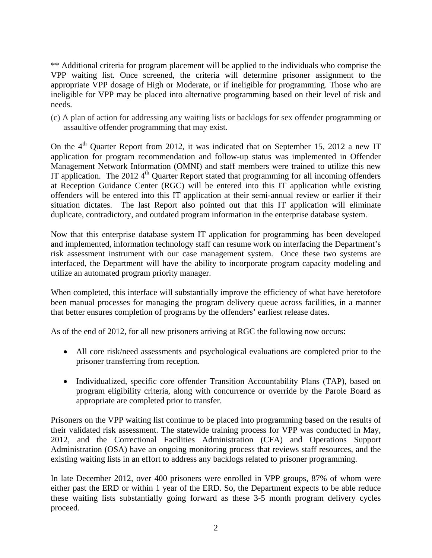\*\* Additional criteria for program placement will be applied to the individuals who comprise the VPP waiting list. Once screened, the criteria will determine prisoner assignment to the appropriate VPP dosage of High or Moderate, or if ineligible for programming. Those who are ineligible for VPP may be placed into alternative programming based on their level of risk and needs.

(c) A plan of action for addressing any waiting lists or backlogs for sex offender programming or assaultive offender programming that may exist.

On the  $4<sup>th</sup>$  Quarter Report from 2012, it was indicated that on September 15, 2012 a new IT application for program recommendation and follow-up status was implemented in Offender Management Network Information (OMNI) and staff members were trained to utilize this new IT application. The 2012  $4<sup>th</sup>$  Quarter Report stated that programming for all incoming offenders at Reception Guidance Center (RGC) will be entered into this IT application while existing offenders will be entered into this IT application at their semi-annual review or earlier if their situation dictates. The last Report also pointed out that this IT application will eliminate duplicate, contradictory, and outdated program information in the enterprise database system.

Now that this enterprise database system IT application for programming has been developed and implemented, information technology staff can resume work on interfacing the Department's risk assessment instrument with our case management system. Once these two systems are interfaced, the Department will have the ability to incorporate program capacity modeling and utilize an automated program priority manager.

When completed, this interface will substantially improve the efficiency of what have heretofore been manual processes for managing the program delivery queue across facilities, in a manner that better ensures completion of programs by the offenders' earliest release dates.

As of the end of 2012, for all new prisoners arriving at RGC the following now occurs:

- All core risk/need assessments and psychological evaluations are completed prior to the prisoner transferring from reception.
- Individualized, specific core offender Transition Accountability Plans (TAP), based on program eligibility criteria, along with concurrence or override by the Parole Board as appropriate are completed prior to transfer.

Prisoners on the VPP waiting list continue to be placed into programming based on the results of their validated risk assessment. The statewide training process for VPP was conducted in May, 2012, and the Correctional Facilities Administration (CFA) and Operations Support Administration (OSA) have an ongoing monitoring process that reviews staff resources, and the existing waiting lists in an effort to address any backlogs related to prisoner programming.

In late December 2012, over 400 prisoners were enrolled in VPP groups, 87% of whom were either past the ERD or within 1 year of the ERD. So, the Department expects to be able reduce these waiting lists substantially going forward as these 3-5 month program delivery cycles proceed.